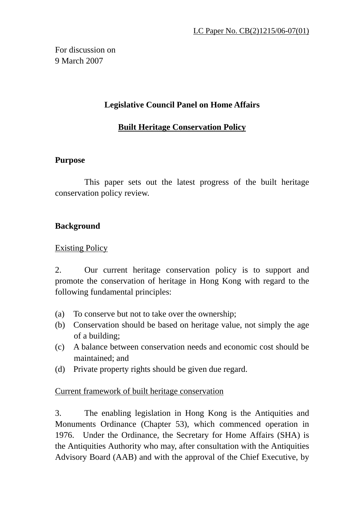For discussion on 9 March 2007

#### **Legislative Council Panel on Home Affairs**

#### **Built Heritage Conservation Policy**

#### **Purpose**

This paper sets out the latest progress of the built heritage conservation policy review.

#### **Background**

Existing Policy

2. Our current heritage conservation policy is to support and promote the conservation of heritage in Hong Kong with regard to the following fundamental principles:

- (a) To conserve but not to take over the ownership;
- (b) Conservation should be based on heritage value, not simply the age of a building;
- (c) A balance between conservation needs and economic cost should be maintained; and
- (d) Private property rights should be given due regard.

#### Current framework of built heritage conservation

3. The enabling legislation in Hong Kong is the Antiquities and Monuments Ordinance (Chapter 53), which commenced operation in 1976. Under the Ordinance, the Secretary for Home Affairs (SHA) is the Antiquities Authority who may, after consultation with the Antiquities Advisory Board (AAB) and with the approval of the Chief Executive, by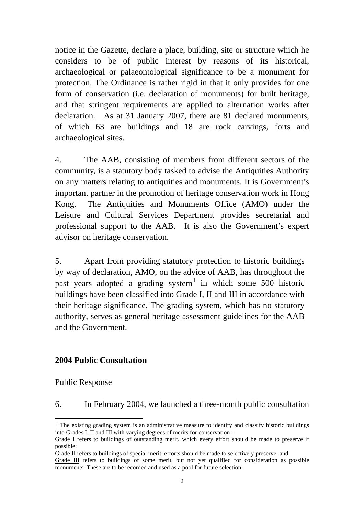notice in the Gazette, declare a place, building, site or structure which he considers to be of public interest by reasons of its historical, archaeological or palaeontological significance to be a monument for protection. The Ordinance is rather rigid in that it only provides for one form of conservation (i.e. declaration of monuments) for built heritage, and that stringent requirements are applied to alternation works after declaration. As at 31 January 2007, there are 81 declared monuments, of which 63 are buildings and 18 are rock carvings, forts and archaeological sites.

4. The AAB, consisting of members from different sectors of the community, is a statutory body tasked to advise the Antiquities Authority on any matters relating to antiquities and monuments. It is Government's important partner in the promotion of heritage conservation work in Hong Kong. The Antiquities and Monuments Office (AMO) under the Leisure and Cultural Services Department provides secretarial and professional support to the AAB. It is also the Government's expert advisor on heritage conservation.

5. Apart from providing statutory protection to historic buildings by way of declaration, AMO, on the advice of AAB, has throughout the past years adopted a grading system<sup>1</sup> in which some 500 historic buildings have been classified into Grade I, II and III in accordance with their heritage significance. The grading system, which has no statutory authority, serves as general heritage assessment guidelines for the AAB and the Government.

#### **2004 Public Consultation**

#### Public Response

 $\overline{a}$ 

#### 6. In February 2004, we launched a three-month public consultation

<sup>&</sup>lt;sup>1</sup> The existing grading system is an administrative measure to identify and classify historic buildings into Grades I, II and III with varying degrees of merits for conservation –

Grade I refers to buildings of outstanding merit, which every effort should be made to preserve if possible;

Grade II refers to buildings of special merit, efforts should be made to selectively preserve; and

Grade III refers to buildings of some merit, but not yet qualified for consideration as possible monuments. These are to be recorded and used as a pool for future selection.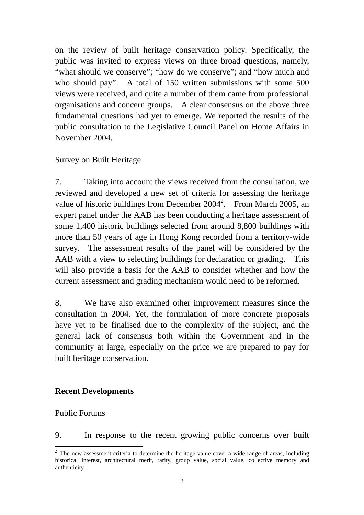on the review of built heritage conservation policy. Specifically, the public was invited to express views on three broad questions, namely, "what should we conserve"; "how do we conserve"; and "how much and who should pay". A total of 150 written submissions with some 500 views were received, and quite a number of them came from professional organisations and concern groups. A clear consensus on the above three fundamental questions had yet to emerge. We reported the results of the public consultation to the Legislative Council Panel on Home Affairs in November 2004.

#### Survey on Built Heritage

7. Taking into account the views received from the consultation, we reviewed and developed a new set of criteria for assessing the heritage value of historic buildings from December  $2004^2$ . From March 2005, an expert panel under the AAB has been conducting a heritage assessment of some 1,400 historic buildings selected from around 8,800 buildings with more than 50 years of age in Hong Kong recorded from a territory-wide survey. The assessment results of the panel will be considered by the AAB with a view to selecting buildings for declaration or grading. This will also provide a basis for the AAB to consider whether and how the current assessment and grading mechanism would need to be reformed.

8. We have also examined other improvement measures since the consultation in 2004. Yet, the formulation of more concrete proposals have yet to be finalised due to the complexity of the subject, and the general lack of consensus both within the Government and in the community at large, especially on the price we are prepared to pay for built heritage conservation.

#### **Recent Developments**

#### Public Forums

 $\overline{a}$ 

9. In response to the recent growing public concerns over built

 $2$  The new assessment criteria to determine the heritage value cover a wide range of areas, including historical interest, architectural merit, rarity, group value, social value, collective memory and authenticity.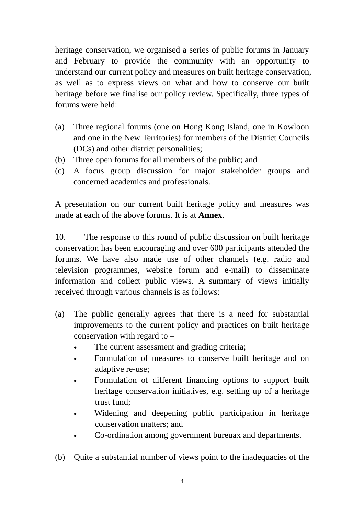heritage conservation, we organised a series of public forums in January and February to provide the community with an opportunity to understand our current policy and measures on built heritage conservation, as well as to express views on what and how to conserve our built heritage before we finalise our policy review. Specifically, three types of forums were held:

- (a) Three regional forums (one on Hong Kong Island, one in Kowloon and one in the New Territories) for members of the District Councils (DCs) and other district personalities;
- (b) Three open forums for all members of the public; and
- (c) A focus group discussion for major stakeholder groups and concerned academics and professionals.

A presentation on our current built heritage policy and measures was made at each of the above forums. It is at **Annex**.

10. The response to this round of public discussion on built heritage conservation has been encouraging and over 600 participants attended the forums. We have also made use of other channels (e.g. radio and television programmes, website forum and e-mail) to disseminate information and collect public views. A summary of views initially received through various channels is as follows:

- (a) The public generally agrees that there is a need for substantial improvements to the current policy and practices on built heritage conservation with regard to –
	- The current assessment and grading criteria;
	- Formulation of measures to conserve built heritage and on adaptive re-use;
	- Formulation of different financing options to support built heritage conservation initiatives, e.g. setting up of a heritage trust fund;
	- Widening and deepening public participation in heritage conservation matters; and
	- Co-ordination among government bureuax and departments.
- (b) Quite a substantial number of views point to the inadequacies of the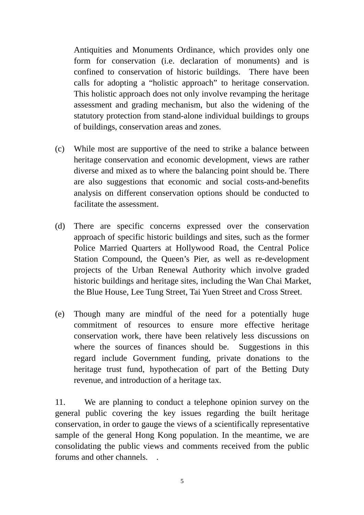Antiquities and Monuments Ordinance, which provides only one form for conservation (i.e. declaration of monuments) and is confined to conservation of historic buildings. There have been calls for adopting a "holistic approach" to heritage conservation. This holistic approach does not only involve revamping the heritage assessment and grading mechanism, but also the widening of the statutory protection from stand-alone individual buildings to groups of buildings, conservation areas and zones.

- (c) While most are supportive of the need to strike a balance between heritage conservation and economic development, views are rather diverse and mixed as to where the balancing point should be. There are also suggestions that economic and social costs-and-benefits analysis on different conservation options should be conducted to facilitate the assessment.
- (d) There are specific concerns expressed over the conservation approach of specific historic buildings and sites, such as the former Police Married Quarters at Hollywood Road, the Central Police Station Compound, the Queen's Pier, as well as re-development projects of the Urban Renewal Authority which involve graded historic buildings and heritage sites, including the Wan Chai Market, the Blue House, Lee Tung Street, Tai Yuen Street and Cross Street.
- (e) Though many are mindful of the need for a potentially huge commitment of resources to ensure more effective heritage conservation work, there have been relatively less discussions on where the sources of finances should be. Suggestions in this regard include Government funding, private donations to the heritage trust fund, hypothecation of part of the Betting Duty revenue, and introduction of a heritage tax.

11. We are planning to conduct a telephone opinion survey on the general public covering the key issues regarding the built heritage conservation, in order to gauge the views of a scientifically representative sample of the general Hong Kong population. In the meantime, we are consolidating the public views and comments received from the public forums and other channels. .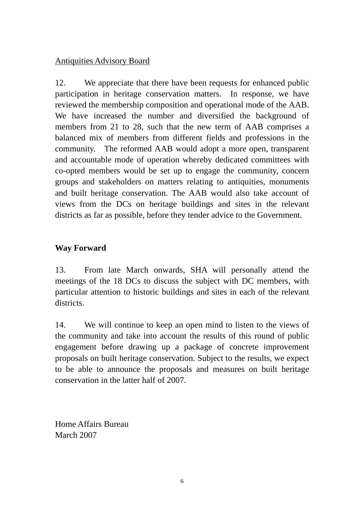#### Antiquities Advisory Board

12. We appreciate that there have been requests for enhanced public participation in heritage conservation matters. In response, we have reviewed the membership composition and operational mode of the AAB. We have increased the number and diversified the background of members from 21 to 28, such that the new term of AAB comprises a balanced mix of members from different fields and professions in the community. The reformed AAB would adopt a more open, transparent and accountable mode of operation whereby dedicated committees with co-opted members would be set up to engage the community, concern groups and stakeholders on matters relating to antiquities, monuments and built heritage conservation. The AAB would also take account of views from the DCs on heritage buildings and sites in the relevant districts as far as possible, before they tender advice to the Government.

#### **Way Forward**

13. From late March onwards, SHA will personally attend the meetings of the 18 DCs to discuss the subject with DC members, with particular attention to historic buildings and sites in each of the relevant districts.

14. We will continue to keep an open mind to listen to the views of the community and take into account the results of this round of public engagement before drawing up a package of concrete improvement proposals on built heritage conservation. Subject to the results, we expect to be able to announce the proposals and measures on built heritage conservation in the latter half of 2007.

Home Affairs Bureau March 2007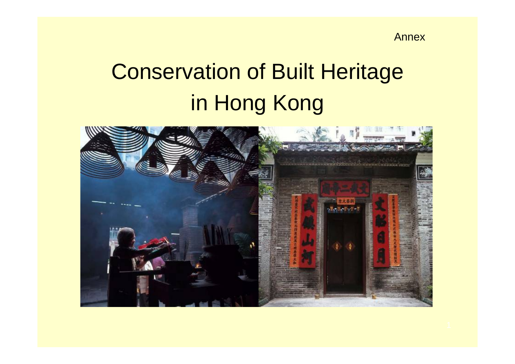Annex

# Conservation of Built Heritage in Hong Kong

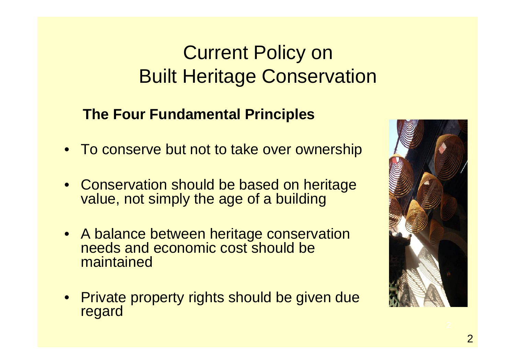## Current Policy on Built Heritage Conservation

### **The Four Fundamental Principles**

- To conserve but not to take over ownership
- Conservation should be based on heritage value, not simply the age of a building
- A balance between heritage conservation needs and economic cost should be maintained
- Private property rights should be given due regard

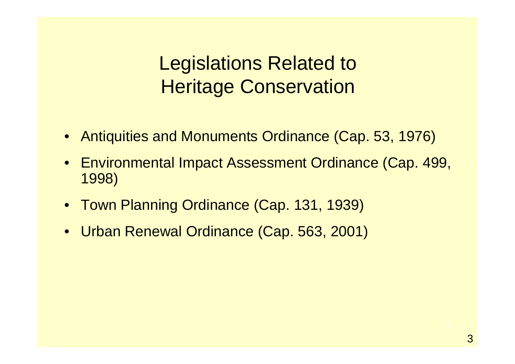Legislations Related to Heritage Conservation

- Antiquities and Monuments Ordinance (Cap. 53, 1976)
- Environmental Impact Assessment Ordinance (Cap. 499, 1998)
- Town Planning Ordinance (Cap. 131, 1939)
- Urban Renewal Ordinance (Cap. 563, 2001)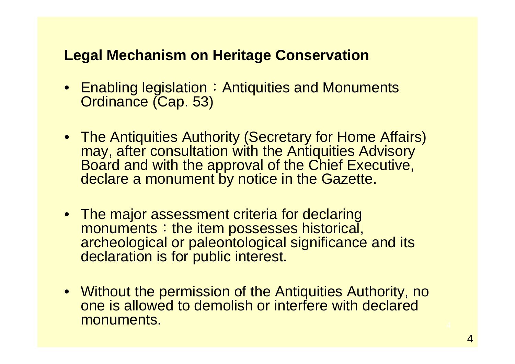### **Legal Mechanism on Heritage Conservation**

- $\bullet~$  Enabling legislation  $\colon$  Antiquities and Monuments Ordinance (Cap. 53)
- The Antiquities Authority (Secretary for Home Affairs) may, after consultation with the Antiquities Advisory Board and with the approval of the Chief Executive, declare a monument by notice in the Gazette.
- The major assessment criteria for declaring monuments: the item possesses historical, archeological or paleontological significance and its declaration is for public interest.
- Without the permission of the Antiquities Authority, no one is allowed to demolish or interfere with declared monuments.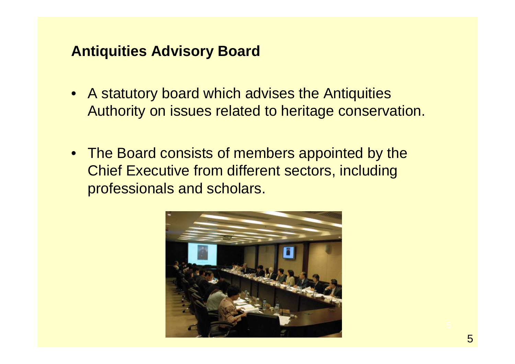### **Antiquities Advisory Board**

- A statutory board which advises the Antiquities Authority on issues related to heritage conservation.
- The Board consists of members appointed by the Chief Executive from different sectors, including professionals and scholars.

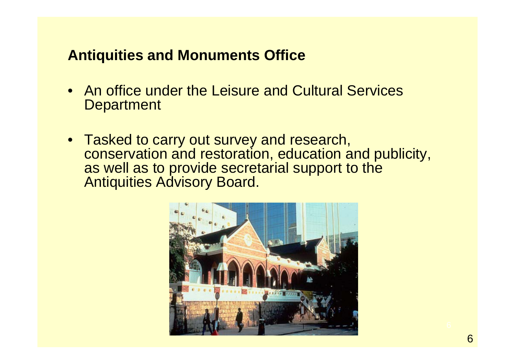### **Antiquities and Monuments Office**

- An office under the Leisure and Cultural Services **Department**
- Tasked to carry out survey and research, conservation and restoration, education and publicity, as well as to provide secretarial support to the Antiquities Advisory Board.

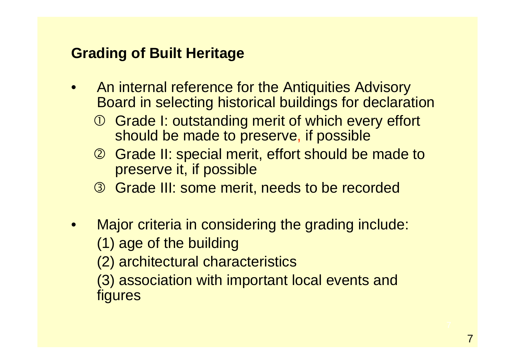### **Grading of Built Heritage**

- • An internal reference for the Antiquities Advisory Board in selecting historical buildings for declaration
	- **1** Grade I: outstanding merit of which every effort should be made to preserve, if possible
	- 2 Grade II: special merit, effort should be made to preserve it, if possible
	- **3** Grade III: some merit, needs to be recorded
- • Major criteria in considering the grading include: (1) age of the building
	- (2) architectural characteristics
	- (3) association with important local events and figures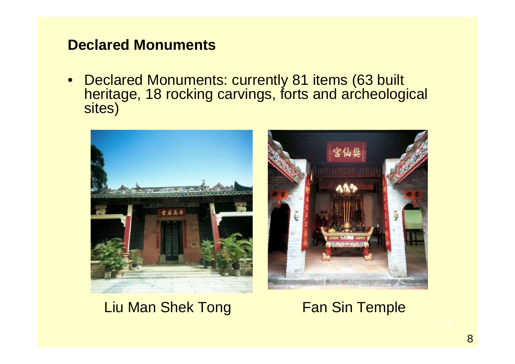### **Declared Monuments**

• Declared Monuments: currently 81 items (63 built heritage, 18 rocking carvings, forts and archeological sites)





### Liu Man Shek Tong

Fan Sin Temple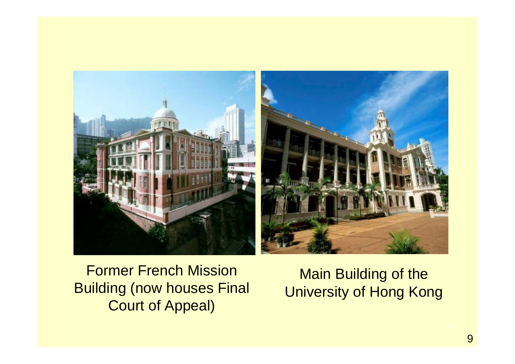

Former French Mission Building (now houses Final Court of Appeal)

Main Building of the University of Hong Kong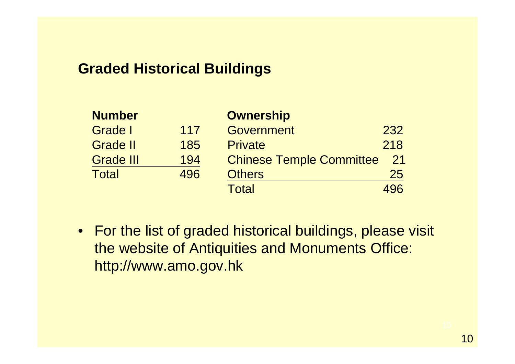### **Graded Historical Buildings**

| <b>Number</b>    |     | <b>Ownership</b>                |     |
|------------------|-----|---------------------------------|-----|
| <b>Grade I</b>   | 117 | <b>Government</b>               | 232 |
| <b>Grade II</b>  | 185 | <b>Private</b>                  | 218 |
| <b>Grade III</b> | 194 | <b>Chinese Temple Committee</b> | 21  |
| <b>Total</b>     | 496 | <b>Others</b>                   | 25  |
|                  |     | <b>Total</b>                    | 496 |

• For the list of graded historical buildings, please visit the website of Antiquities and Monuments Office: http://www.amo.gov.hk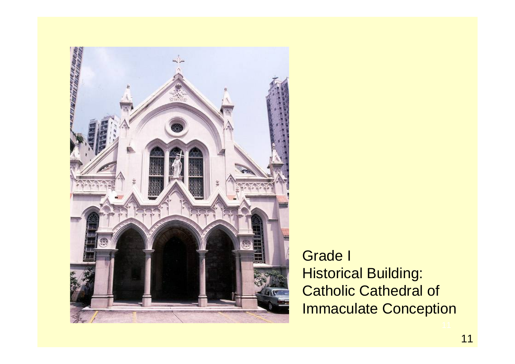

Grade I Historical Building: Catholic Cathedral of Immaculate Conception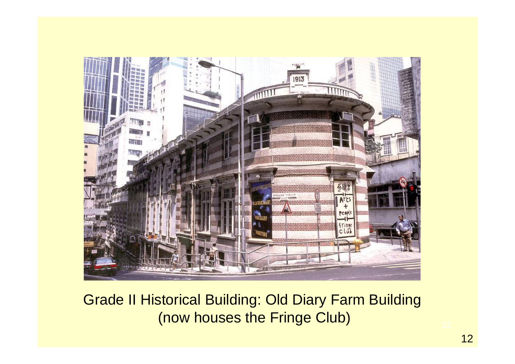

Grade II Historical Building: Old Diary Farm Building (now houses the Fringe Club)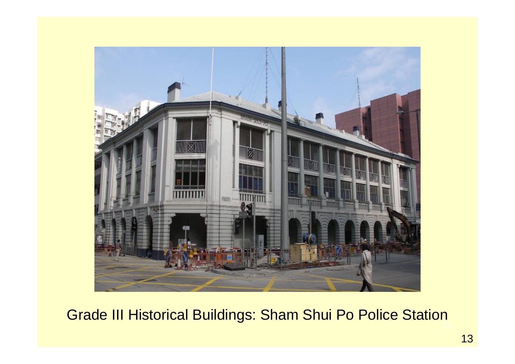

## 13 Grade III Historical Buildings: Sham Shui Po Police Station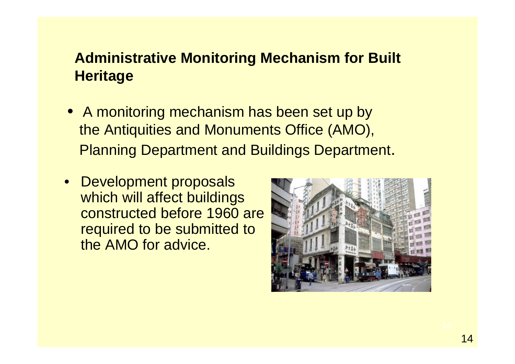### **Administrative Monitoring Mechanism for Built Heritage**

- A monitoring mechanism has been set up by the Antiquities and Monuments Office (AMO), Planning Department and Buildings Department.
- Development proposals which will affect buildings constructed before 1960 are required to be submitted to the AMO for advice.

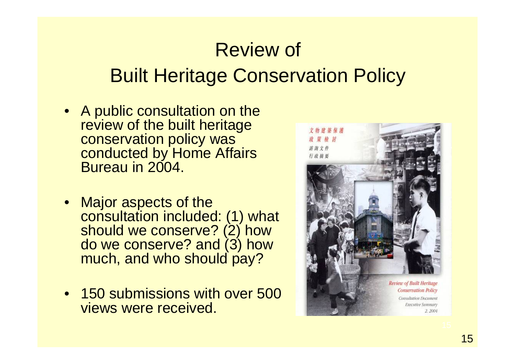# Review of Built Heritage Conservation Policy

- A public consultation on the review of the built heritage conservation policy was conducted by Home Affairs Bureau in 2004.
- Major aspects of the consultation included: (1) what should we conserve? (2) how do we conserve? and (3) how much, and who should pay?
- 150 submissions with over 500 views were received.

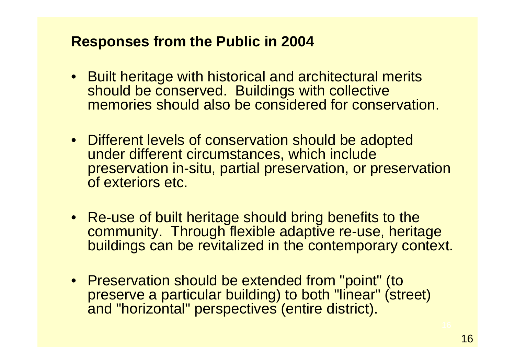### **Responses from the Public in 2004**

- Built heritage with historical and architectural merits should be conserved. Buildings with collective memories should also be considered for conservation.
- Different levels of conservation should be adopted under different circumstances, which include preservation in-situ, partial preservation, or preservation of exteriors etc.
- Re-use of built heritage should bring benefits to the community. Through flexible adaptive re-use, heritage buildings can be revitalized in the contemporary context.
- Preservation should be extended from "point" (to preserve a particular building) to both "linear" (street) and "horizontal" perspectives (entire district).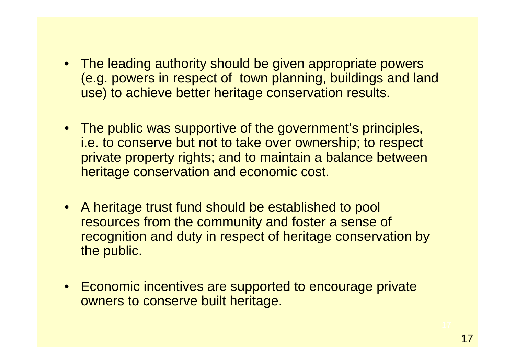- The leading authority should be given appropriate powers (e.g. powers in respect of town planning, buildings and land use) to achieve better heritage conservation results.
- The public was supportive of the government's principles, i.e. to conserve but not to take over ownership; to respect private property rights; and to maintain a balance between heritage conservation and economic cost.
- A heritage trust fund should be established to pool resources from the community and foster a sense of recognition and duty in respect of heritage conservation by the public.
- Economic incentives are supported to encourage private owners to conserve built heritage.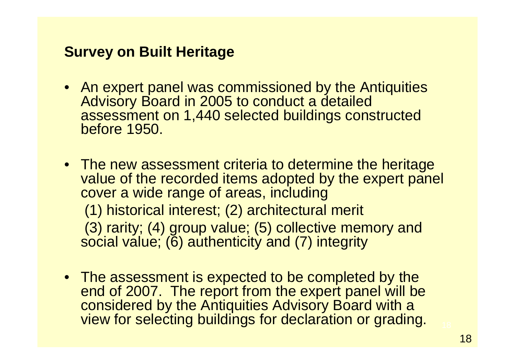### **Survey on Built Heritage**

- An expert panel was commissioned by the Antiquities Advisory Board in 2005 to conduct a detailed assessment on 1,440 selected buildings constructed before 1950.
- The new assessment criteria to determine the heritage value of the recorded items adopted by the expert panel cover a wide range of areas, including (1) historical interest; (2) architectural merit (3) rarity; (4) group value; (5) collective memory and social value; (6) authenticity and (7) integrity
- The assessment is expected to be completed by the end of 2007. The report from the expert panel will be considered by the Antiquities Advisory Board with a view for selecting buildings for declaration or grading.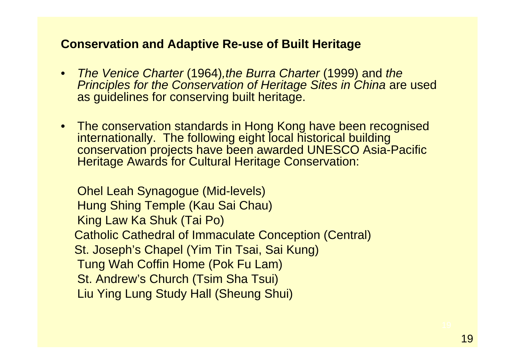#### **Conservation and Adaptive Re-use of Built Heritage**

- *The Venice Charter* (1964)*,the Burra Charter* (1999) and *the Principles for the Conservation of Heritage Sites in China* are used as guidelines for conserving built heritage.
- The conservation standards in Hong Kong have been recognised internationally. The following eight local historical building conservation projects have been awarded UNESCO Asia-Pacific Heritage Awards for Cultural Heritage Conservation:

Ohel Leah Synagogue (Mid-levels) Hung Shing Temple (Kau Sai Chau) King Law Ka Shuk (Tai Po) Catholic Cathedral of Immaculate Conception (Central) St. Joseph's Chapel (Yim Tin Tsai, Sai Kung) Tung Wah Coffin Home (Pok Fu Lam) St. Andrew's Church (Tsim Sha Tsui) Liu Ying Lung Study Hall (Sheung Shui)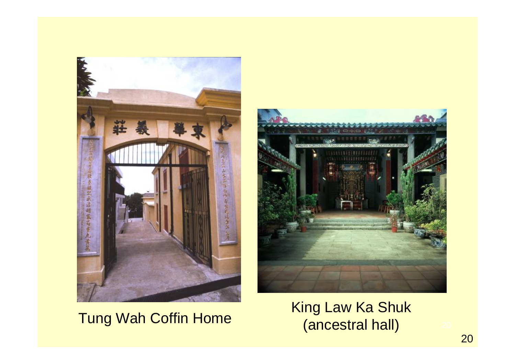

Tung Wah Coffin Home<br>
(ancestral hall)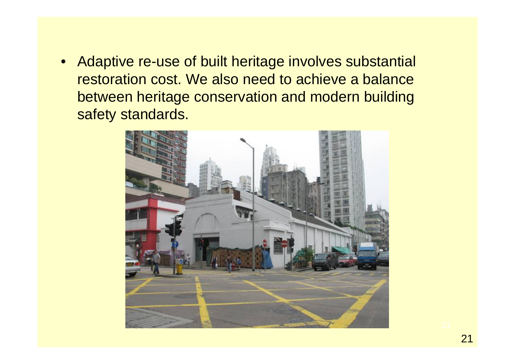• Adaptive re-use of built heritage involves substantial restoration cost. We also need to achieve a balance between heritage conservation and modern building safety standards.

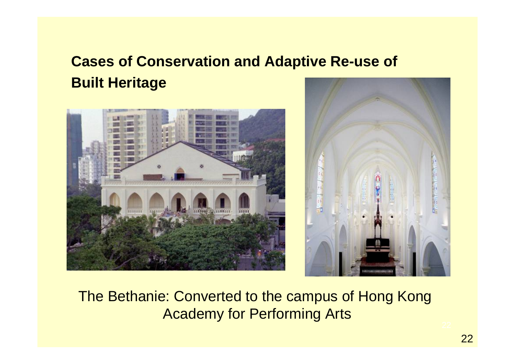## **Cases of Conservation and Adaptive Re-use of Built Heritage**





The Bethanie: Converted to the campus of Hong Kong Academy for Performing Arts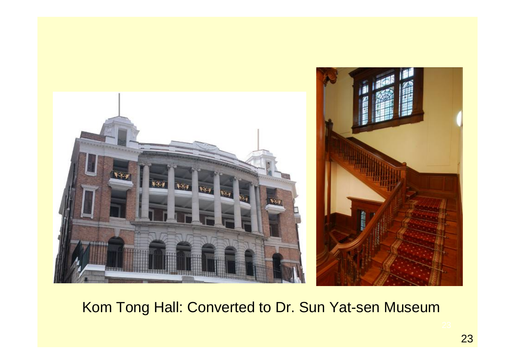

Kom Tong Hall: Converted to Dr. Sun Yat-sen Museum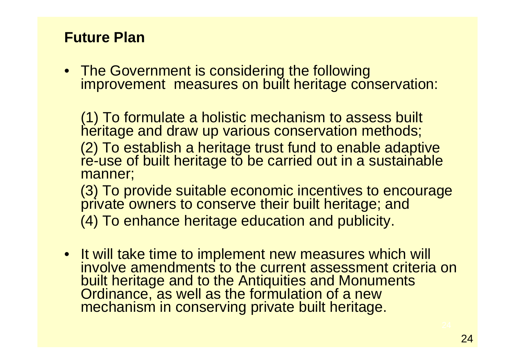### **Future Plan**

• The Government is considering the following improvement measures on built heritage conservation:

(1) To formulate a holistic mechanism to assess built heritage and draw up various conservation methods; (2) To establish a heritage trust fund to enable adaptive re-use of built heritage to be carried out in a sustainable manner; (3) To provide suitable economic incentives to encourage private owners to conserve their built heritage; and

(4) To enhance heritage education and publicity.

• It will take time to implement new measures which will involve amendments to the current assessment criteria on built heritage and to the Antiquities and Monuments Ordinance, as well as the formulation of a new mechanism in conserving private built heritage.